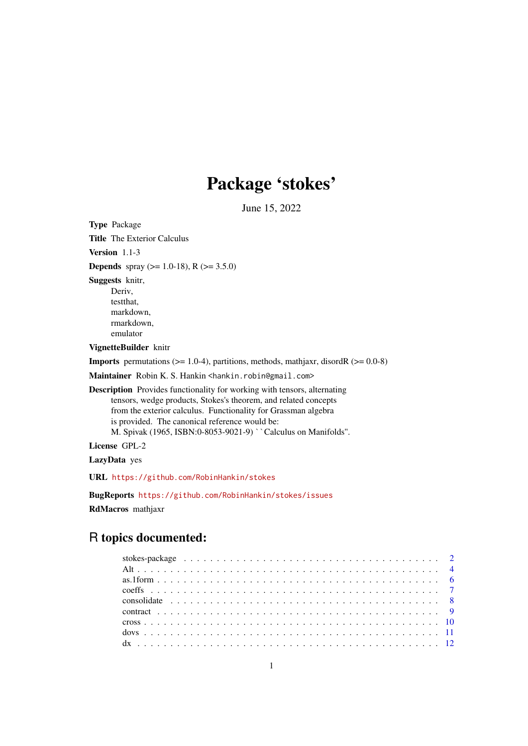## Package 'stokes'

June 15, 2022

<span id="page-0-0"></span>Type Package Title The Exterior Calculus Version 1.1-3 **Depends** spray ( $> = 1.0-18$ ), R ( $> = 3.5.0$ ) Suggests knitr, Deriv, testthat, markdown, rmarkdown, emulator VignetteBuilder knitr **Imports** permutations ( $>= 1.0-4$ ), partitions, methods, mathjaxr, disordR ( $>= 0.0-8$ ) Maintainer Robin K. S. Hankin <hankin.robin@gmail.com> Description Provides functionality for working with tensors, alternating tensors, wedge products, Stokes's theorem, and related concepts from the exterior calculus. Functionality for Grassman algebra is provided. The canonical reference would be: M. Spivak (1965, ISBN:0-8053-9021-9) ``Calculus on Manifolds''. License GPL-2 LazyData yes URL <https://github.com/RobinHankin/stokes> BugReports <https://github.com/RobinHankin/stokes/issues>

## RdMacros mathjaxr

## R topics documented: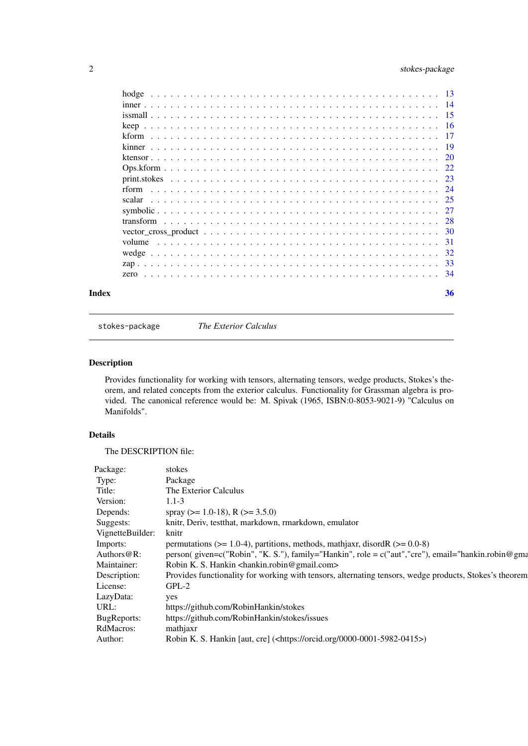## <span id="page-1-0"></span>2 stokes-package

| Index | 36 |
|-------|----|

stokes-package *The Exterior Calculus*

## Description

Provides functionality for working with tensors, alternating tensors, wedge products, Stokes's theorem, and related concepts from the exterior calculus. Functionality for Grassman algebra is provided. The canonical reference would be: M. Spivak (1965, ISBN:0-8053-9021-9) "Calculus on Manifolds".

## Details

The DESCRIPTION file: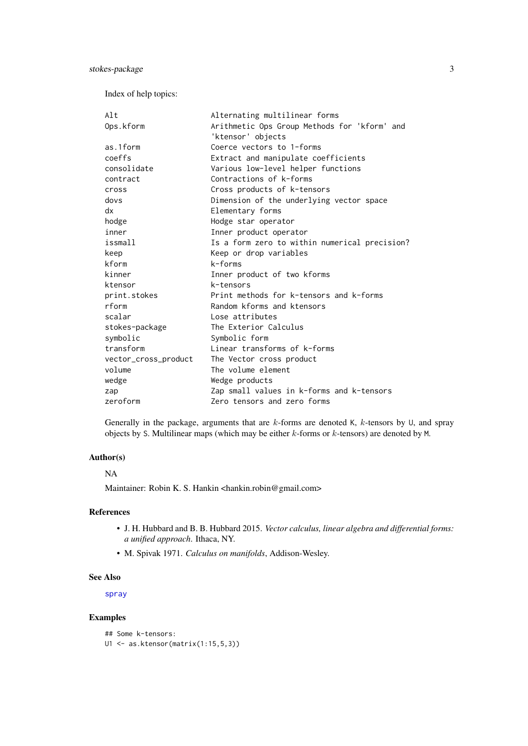<span id="page-2-0"></span>Index of help topics:

| Alt                  | Alternating multilinear forms                 |
|----------------------|-----------------------------------------------|
| Ops.kform            | Arithmetic Ops Group Methods for 'kform' and  |
|                      | 'ktensor' objects                             |
| as.1form             | Coerce vectors to 1-forms                     |
| coeffs               | Extract and manipulate coefficients           |
| consolidate          | Various low-level helper functions            |
| contract             | Contractions of k-forms                       |
| cross                | Cross products of k-tensors                   |
| dovs                 | Dimension of the underlying vector space      |
| dx                   | Elementary forms                              |
| hodge                | Hodge star operator                           |
| inner                | Inner product operator                        |
| issmall              | Is a form zero to within numerical precision? |
| keep                 | Keep or drop variables                        |
| kform                | k-forms                                       |
| kinner               | Inner product of two kforms                   |
| ktensor              | k-tensors                                     |
| print.stokes         | Print methods for k-tensors and k-forms       |
| rform                | Random kforms and ktensors                    |
| scalar               | Lose attributes                               |
| stokes-package       | The Exterior Calculus                         |
| symbolic             | Symbolic form                                 |
| transform            | Linear transforms of k-forms                  |
| vector_cross_product | The Vector cross product                      |
| volume               | The volume element                            |
| wedge                | Wedge products                                |
| zap                  | Zap small values in k-forms and k-tensors     |
| zeroform             | Zero tensors and zero forms                   |

Generally in the package, arguments that are  $k$ -forms are denoted K,  $k$ -tensors by U, and spray objects by S. Multilinear maps (which may be either k-forms or k-tensors) are denoted by M.

## Author(s)

## NA

Maintainer: Robin K. S. Hankin <hankin.robin@gmail.com>

#### References

- J. H. Hubbard and B. B. Hubbard 2015. *Vector calculus, linear algebra and differential forms: a unified approach*. Ithaca, NY.
- M. Spivak 1971. *Calculus on manifolds*, Addison-Wesley.

#### See Also

[spray](#page-0-0)

```
## Some k-tensors:
U1 <- as.ktensor(matrix(1:15,5,3))
```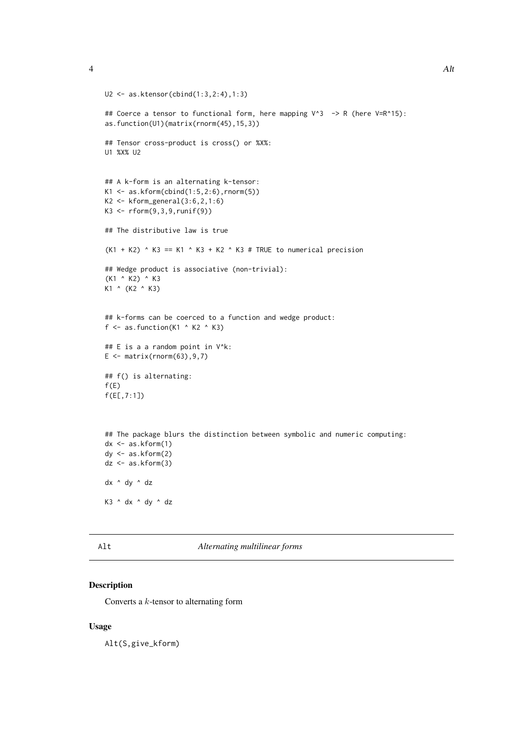```
U2 <- as.ktensor(cbind(1:3,2:4),1:3)
## Coerce a tensor to functional form, here mapping V^3 -> R (here V=R^15):
as.function(U1)(matrix(rnorm(45),15,3))
## Tensor cross-product is cross() or %X%:
U1 %X% U2
## A k-form is an alternating k-tensor:
K1 \le -as.kform(cbind(1:5,2:6),rnorm(5))K2 \leq Kform\_general(3:6, 2, 1:6)K3 \leq rform(9,3,9,runif(9))## The distributive law is true
(K1 + K2) \wedge K3 == K1 \wedge K3 + K2 \wedge K3 # TRUE to numerical precision
## Wedge product is associative (non-trivial):
(K1 ^ K2) ^ K3
K1 ^ (K2 ^ K3)
## k-forms can be coerced to a function and wedge product:
f \leq as. function(K1 \land K2 \land K3)
## E is a a random point in V^k:
E \le - matrix(rnorm(63), 9,7)
## f() is alternating:
f(E)f(E[,7:1])
## The package blurs the distinction between symbolic and numeric computing:
dx \leftarrow as.kform(1)dy <- as.kform(2)
dz \leftarrow as.kform(3)dx ^ dy ^ dz
K3 ^ dx ^ dy ^ dz
```
<span id="page-3-1"></span>Alt *Alternating multilinear forms*

#### Description

Converts a k-tensor to alternating form

## Usage

Alt(S,give\_kform)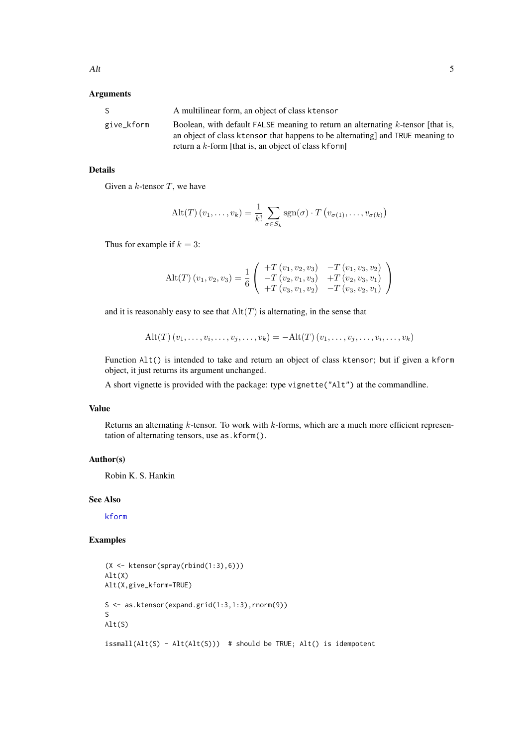## <span id="page-4-0"></span>Arguments

| S.         | A multilinear form, an object of class ktensor                                                                                                                                                                                |
|------------|-------------------------------------------------------------------------------------------------------------------------------------------------------------------------------------------------------------------------------|
| give_kform | Boolean, with default FALSE meaning to return an alternating $k$ -tensor [that is.<br>an object of class ktensor that happens to be alternating and TRUE meaning to<br>return a $k$ -form [that is, an object of class kform] |

## Details

Given a  $k$ -tensor  $T$ , we have

$$
\mathrm{Alt}(T) (v_1, \ldots, v_k) = \frac{1}{k!} \sum_{\sigma \in S_k} \mathrm{sgn}(\sigma) \cdot T (v_{\sigma(1)}, \ldots, v_{\sigma(k)})
$$

Thus for example if  $k = 3$ :

$$
Alt(T) (v_1, v_2, v_3) = \frac{1}{6} \begin{pmatrix} +T (v_1, v_2, v_3) & -T (v_1, v_3, v_2) \\ -T (v_2, v_1, v_3) & +T (v_2, v_3, v_1) \\ +T (v_3, v_1, v_2) & -T (v_3, v_2, v_1) \end{pmatrix}
$$

and it is reasonably easy to see that  $Alt(T)$  is alternating, in the sense that

$$
Alt(T) (v_1, \ldots, v_i, \ldots, v_j, \ldots, v_k) = -Alt(T) (v_1, \ldots, v_j, \ldots, v_i, \ldots, v_k)
$$

Function Alt() is intended to take and return an object of class ktensor; but if given a kform object, it just returns its argument unchanged.

A short vignette is provided with the package: type vignette("Alt") at the commandline.

#### Value

Returns an alternating  $k$ -tensor. To work with  $k$ -forms, which are a much more efficient representation of alternating tensors, use as.kform().

#### Author(s)

Robin K. S. Hankin

#### See Also

[kform](#page-16-1)

#### Examples

```
(X <- ktensor(spray(rbind(1:3),6)))
Alt(X)
Alt(X,give_kform=TRUE)
S <- as.ktensor(expand.grid(1:3,1:3),rnorm(9))
S
Alt(S)
```
issmall(Alt(S) - Alt(Alt(S))) # should be TRUE; Alt() is idempotent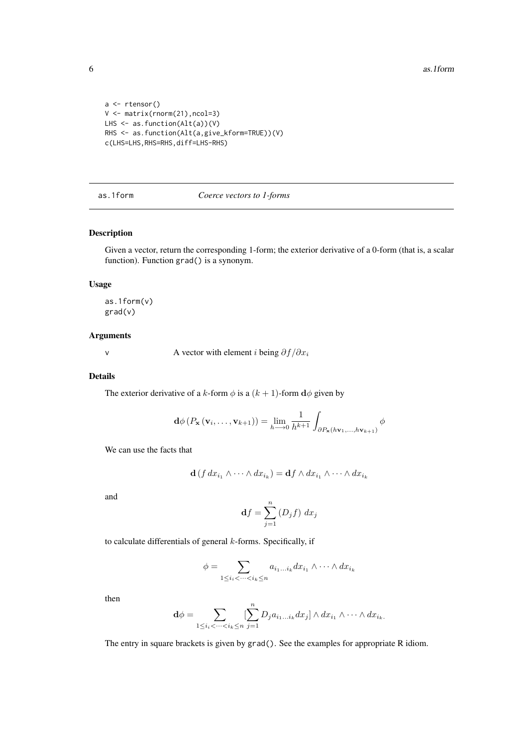```
a <- rtensor()
V <- matrix(rnorm(21),ncol=3)
LHS <- as.function(Alt(a))(V)
RHS <- as.function(Alt(a,give_kform=TRUE))(V)
c(LHS=LHS,RHS=RHS,diff=LHS-RHS)
```
## <span id="page-5-1"></span>as.1form *Coerce vectors to 1-forms*

#### Description

Given a vector, return the corresponding 1-form; the exterior derivative of a 0-form (that is, a scalar function). Function grad() is a synonym.

## Usage

as.1form(v) grad(v)

## Arguments

v A vector with element *i* being  $\partial f / \partial x_i$ 

## Details

The exterior derivative of a k-form  $\phi$  is a  $(k + 1)$ -form  $d\phi$  given by

$$
\mathbf{d}\phi\left(P_{\mathbf{x}}\left(\mathbf{v}_{i},\ldots,\mathbf{v}_{k+1}\right)\right)=\lim_{h\longrightarrow0}\frac{1}{h^{k+1}}\int_{\partial P_{\mathbf{x}}(h\mathbf{v}_{1},\ldots,h\mathbf{v}_{k+1})}\phi
$$

We can use the facts that

$$
\mathbf{d}(f dx_{i_1} \wedge \cdots \wedge dx_{i_k}) = \mathbf{d}f \wedge dx_{i_1} \wedge \cdots \wedge dx_{i_k}
$$

and

$$
\mathbf{d}f = \sum_{j=1}^{n} \left( D_j f \right) \, dx_j
$$

to calculate differentials of general  $k$ -forms. Specifically, if

$$
\phi = \sum_{1 \le i_i < \dots < i_k \le n} a_{i_1 \dots i_k} dx_{i_1} \wedge \dots \wedge dx_{i_k}
$$

then

$$
\mathbf{d}\phi = \sum_{1 \leq i_i < \dots < i_k \leq n} \sum_{j=1}^n D_j a_{i_1 \dots i_k} dx_j] \wedge dx_{i_1} \wedge \dots \wedge dx_{i_k}.
$$

The entry in square brackets is given by grad(). See the examples for appropriate R idiom.

<span id="page-5-0"></span>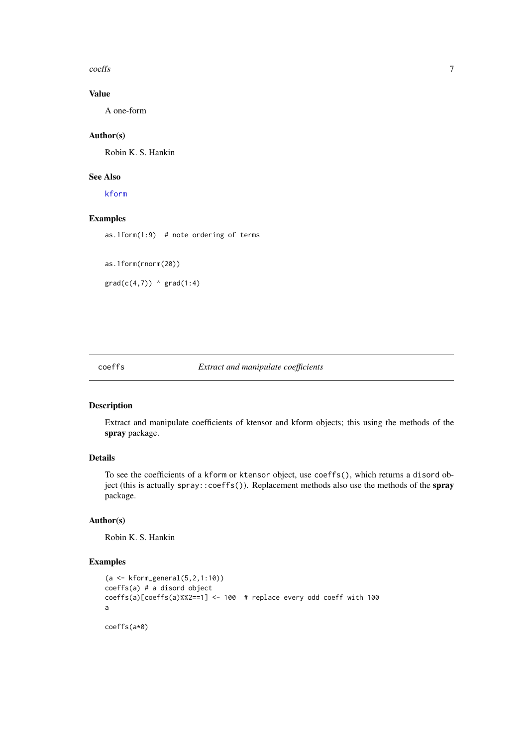<span id="page-6-0"></span>coeffs 7

## Value

A one-form

## Author(s)

Robin K. S. Hankin

#### See Also

[kform](#page-16-1)

## Examples

as.1form $(1:9)$  # note ordering of terms

as.1form(rnorm(20))

 $grad(c(4,7))$   $\land$   $grad(1:4)$ 

#### coeffs *Extract and manipulate coefficients*

#### Description

Extract and manipulate coefficients of ktensor and kform objects; this using the methods of the spray package.

## Details

To see the coefficients of a kform or ktensor object, use coeffs(), which returns a disord object (this is actually spray:: coeffs()). Replacement methods also use the methods of the spray package.

#### Author(s)

Robin K. S. Hankin

```
(a <- kform_general(5,2,1:10))
coeffs(a) # a disord object
coeffs(a)[coeffs(a)%%2==1] <- 100 # replace every odd coeff with 100
a
coeffs(a*0)
```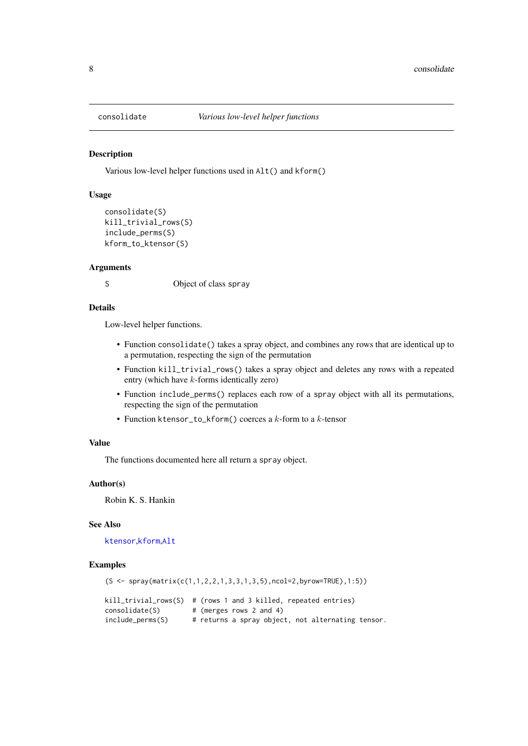<span id="page-7-0"></span>

#### **Description**

Various low-level helper functions used in Alt() and kform()

#### Usage

```
consolidate(S)
kill_trivial_rows(S)
include_perms(S)
kform_to_ktensor(S)
```
#### Arguments

S Object of class spray

## Details

Low-level helper functions.

- Function consolidate() takes a spray object, and combines any rows that are identical up to a permutation, respecting the sign of the permutation
- Function kill\_trivial\_rows() takes a spray object and deletes any rows with a repeated entry (which have k-forms identically zero)
- Function include\_perms() replaces each row of a spray object with all its permutations, respecting the sign of the permutation
- Function ktensor\_to\_kform() coerces a  $k$ -form to a  $k$ -tensor

#### Value

The functions documented here all return a spray object.

#### Author(s)

Robin K. S. Hankin

#### See Also

[ktensor](#page-19-1),[kform](#page-16-1),[Alt](#page-3-1)

```
(S <- spray(matrix(c(1,1,2,2,1,3,3,1,3,5),ncol=2,byrow=TRUE),1:5))
kill_trivial_rows(S) # (rows 1 and 3 killed, repeated entries)
consolidate(S) # (merges rows 2 and 4)
include_perms(S) # returns a spray object, not alternating tensor.
```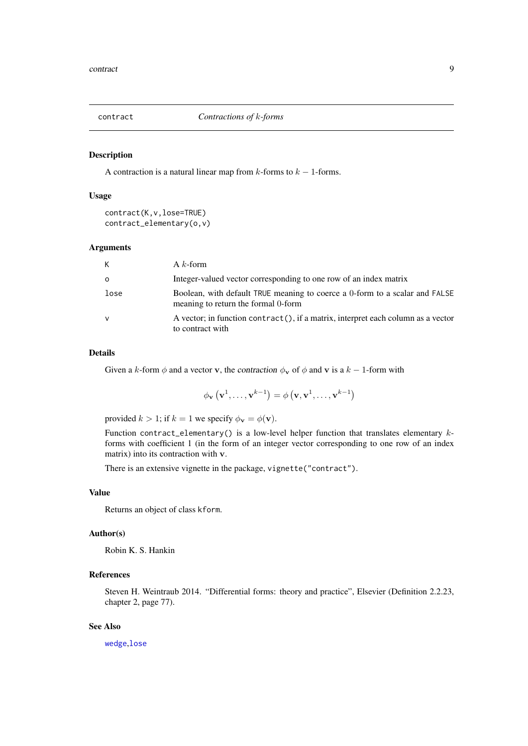<span id="page-8-0"></span>

#### Description

A contraction is a natural linear map from  $k$ -forms to  $k - 1$ -forms.

#### Usage

```
contract(K,v,lose=TRUE)
contract_elementary(o,v)
```
#### Arguments

| K            | A $k$ -form                                                                                                        |
|--------------|--------------------------------------------------------------------------------------------------------------------|
| $\circ$      | Integer-valued vector corresponding to one row of an index matrix                                                  |
| lose         | Boolean, with default TRUE meaning to coerce a 0-form to a scalar and FALSE<br>meaning to return the formal 0-form |
| $\mathsf{V}$ | A vector; in function contract(), if a matrix, interpret each column as a vector<br>to contract with               |

#### Details

Given a k-form  $\phi$  and a vector v, the contraction  $\phi_{\mathbf{v}}$  of  $\phi$  and v is a  $k - 1$ -form with

$$
\phi_{\mathbf{v}}\left(\mathbf{v}^{1},\ldots,\mathbf{v}^{k-1}\right)=\phi\left(\mathbf{v},\mathbf{v}^{1},\ldots,\mathbf{v}^{k-1}\right)
$$

provided  $k > 1$ ; if  $k = 1$  we specify  $\phi_{\mathbf{v}} = \phi(\mathbf{v})$ .

Function contract\_elementary() is a low-level helper function that translates elementary kforms with coefficient 1 (in the form of an integer vector corresponding to one row of an index matrix) into its contraction with v.

There is an extensive vignette in the package, vignette("contract").

#### Value

Returns an object of class kform.

#### Author(s)

Robin K. S. Hankin

## References

Steven H. Weintraub 2014. "Differential forms: theory and practice", Elsevier (Definition 2.2.23, chapter 2, page 77).

## See Also

[wedge](#page-31-1),[lose](#page-24-1)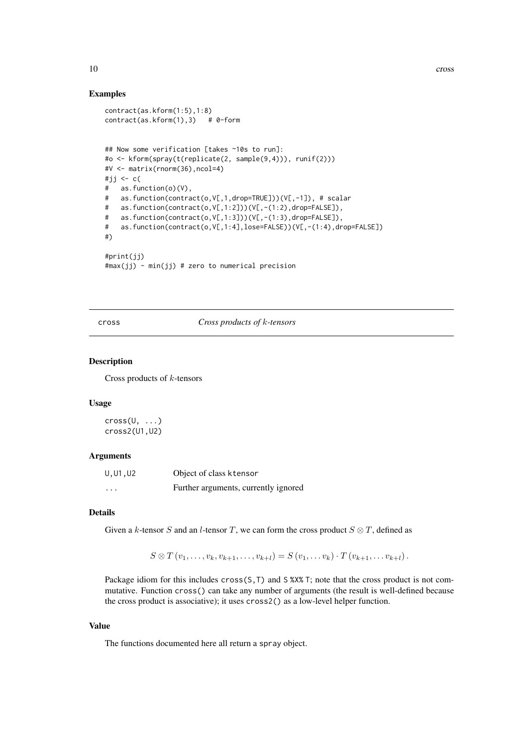#### Examples

```
contract(as.kform(1:5),1:8)
contract(as.kform(1),3) # 0-form
## Now some verification [takes ~10s to run]:
#o <- kform(spray(t(replicate(2, sample(9,4))), runif(2)))
#V <- matrix(rnorm(36),ncol=4)
#jj <- c(
# as.function(o)(V),
# as.function(contract(o,V[,1,drop=TRUE]))(V[,-1]), # scalar
# as.function(contract(o,V[,1:2]))(V[,-(1:2),drop=FALSE]),
# as.function(contract(o,V[,1:3]))(V[,-(1:3),drop=FALSE]),
# as.function(contract(o,V[,1:4],lose=FALSE))(V[,-(1:4),drop=FALSE])
#)
#print(jj)
#max(jj) - min(jj) # zero to numerical precision
```
<span id="page-9-1"></span>cross *Cross products of* k*-tensors*

#### Description

Cross products of  $k$ -tensors

#### Usage

 $cross(U, \ldots)$ cross2(U1,U2)

#### Arguments

| U, U1, U2 | Object of class ktensor              |
|-----------|--------------------------------------|
| $\cdots$  | Further arguments, currently ignored |

#### Details

Given a k-tensor S and an l-tensor T, we can form the cross product  $S \otimes T$ , defined as

 $S \otimes T (v_1, \ldots, v_k, v_{k+1}, \ldots, v_{k+l}) = S (v_1, \ldots, v_k) \cdot T (v_{k+1}, \ldots, v_{k+l}).$ 

Package idiom for this includes cross(S,T) and S %X% T; note that the cross product is not commutative. Function cross() can take any number of arguments (the result is well-defined because the cross product is associative); it uses cross2() as a low-level helper function.

## Value

The functions documented here all return a spray object.

<span id="page-9-0"></span>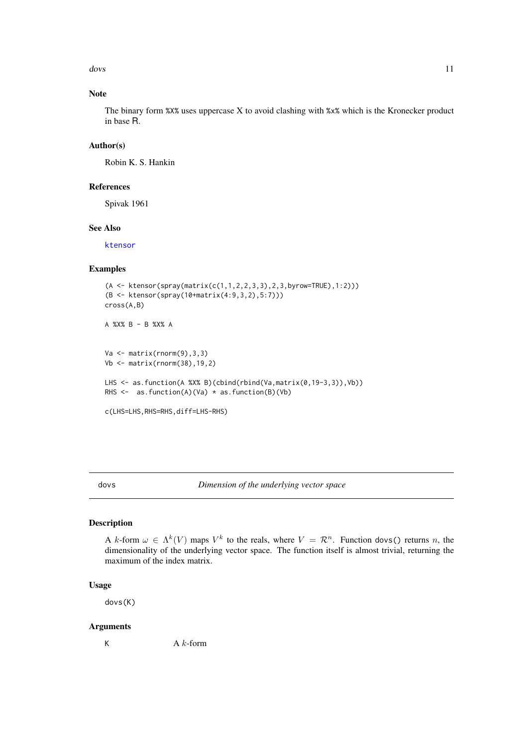<span id="page-10-0"></span>dovs and the set of the set of the set of the set of the set of the set of the set of the set of the set of the set of the set of the set of the set of the set of the set of the set of the set of the set of the set of the

## Note

The binary form %X% uses uppercase X to avoid clashing with %x% which is the Kronecker product in base R.

## Author(s)

Robin K. S. Hankin

## References

Spivak 1961

## See Also

[ktensor](#page-19-1)

## Examples

```
(A <- ktensor(spray(matrix(c(1,1,2,2,3,3),2,3,byrow=TRUE),1:2)))
(B <- ktensor(spray(10+matrix(4:9,3,2),5:7)))
cross(A,B)
A %X% B - B %X% A
Va \leftarrow matrix(rnorm(9), 3, 3)Vb \leftarrow matrix(rnorm(38), 19, 2)LHS <- as.function(A %X% B)(cbind(rbind(Va,matrix(0,19-3,3)),Vb))
RHS \leq as. function(A)(Va) * as. function(B)(Vb)
c(LHS=LHS,RHS=RHS,diff=LHS-RHS)
```
<span id="page-10-1"></span>dovs *Dimension of the underlying vector space*

#### Description

A k-form  $\omega \in \Lambda^k(V)$  maps  $V^k$  to the reals, where  $V = \mathcal{R}^n$ . Function dovs() returns n, the dimensionality of the underlying vector space. The function itself is almost trivial, returning the maximum of the index matrix.

#### Usage

dovs(K)

#### Arguments

K  $A \, k\text{-form}$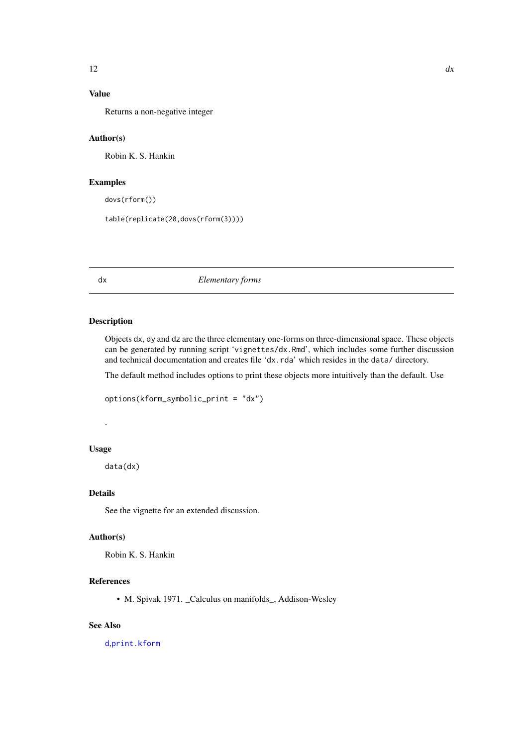## <span id="page-11-0"></span>Value

Returns a non-negative integer

## Author(s)

Robin K. S. Hankin

## Examples

dovs(rform())

table(replicate(20,dovs(rform(3))))

#### <span id="page-11-1"></span>dx *Elementary forms*

## Description

Objects dx, dy and dz are the three elementary one-forms on three-dimensional space. These objects can be generated by running script 'vignettes/dx.Rmd', which includes some further discussion and technical documentation and creates file 'dx.rda' which resides in the data/ directory.

The default method includes options to print these objects more intuitively than the default. Use

```
options(kform_symbolic_print = "dx")
```
#### Usage

.

data(dx)

#### Details

See the vignette for an extended discussion.

## Author(s)

Robin K. S. Hankin

## References

• M. Spivak 1971. \_Calculus on manifolds\_, Addison-Wesley

## See Also

[d](#page-16-2),[print.kform](#page-22-1)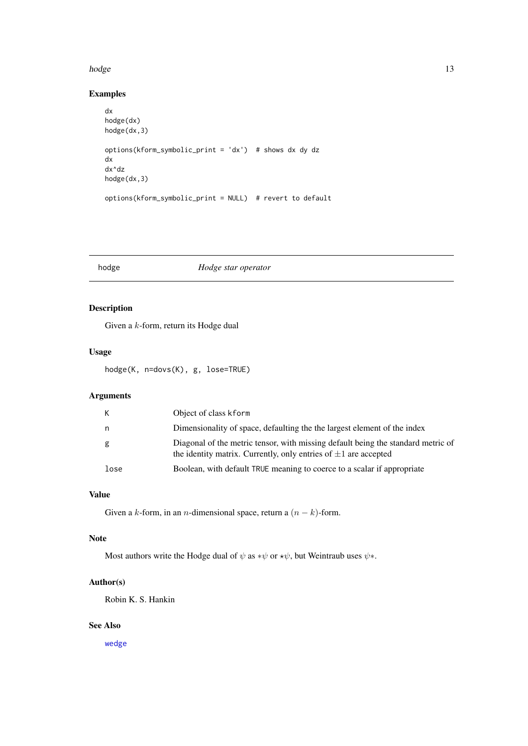#### <span id="page-12-0"></span>hodge and the state of the state of the state of the state of the state of the state of the state of the state of the state of the state of the state of the state of the state of the state of the state of the state of the

#### Examples

```
dx
hodge(dx)
hodge(dx,3)
options(kform_symbolic_print = 'dx') # shows dx dy dz
dx
dx^dz
hodge(dx,3)
options(kform_symbolic_print = NULL) # revert to default
```
<span id="page-12-1"></span>hodge *Hodge star operator*

## Description

Given a k-form, return its Hodge dual

## Usage

hodge(K, n=dovs(K), g, lose=TRUE)

## Arguments

| К    | Object of class kform                                                                                                                                    |
|------|----------------------------------------------------------------------------------------------------------------------------------------------------------|
| n.   | Dimensionality of space, defaulting the the largest element of the index                                                                                 |
| g    | Diagonal of the metric tensor, with missing default being the standard metric of<br>the identity matrix. Currently, only entries of $\pm 1$ are accepted |
| lose | Boolean, with default TRUE meaning to coerce to a scalar if appropriate                                                                                  |

## Value

Given a k-form, in an *n*-dimensional space, return a  $(n - k)$ -form.

## Note

Most authors write the Hodge dual of  $\psi$  as  $*\psi$  or  $*\psi$ , but Weintraub uses  $\psi$ \*.

## Author(s)

Robin K. S. Hankin

## See Also

[wedge](#page-31-1)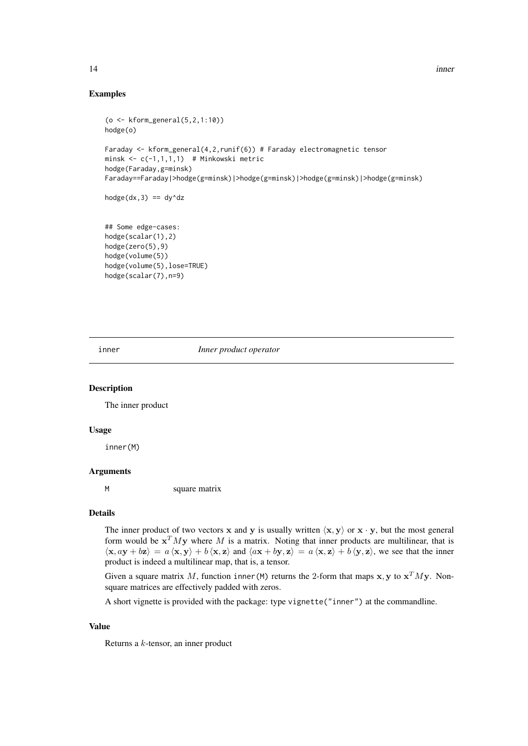## Examples

```
(o <- kform_general(5,2,1:10))
hodge(o)
Faraday <- kform_general(4,2,runif(6)) # Faraday electromagnetic tensor
minsk \leq c(-1,1,1,1) # Minkowski metric
hodge(Faraday,g=minsk)
Faraday==Faraday|>hodge(g=minsk)|>hodge(g=minsk)|>hodge(g=minsk)|>hodge(g=minsk)
hodge(dx,3) == dy^d## Some edge-cases:
hodge(scalar(1),2)
hodge(zero(5),9)
hodge(volume(5))
hodge(volume(5),lose=TRUE)
```
inner *Inner product operator*

#### Description

The inner product

hodge(scalar(7),n=9)

#### Usage

inner(M)

#### Arguments

M square matrix

#### Details

The inner product of two vectors x and y is usually written  $\langle x, y \rangle$  or  $x \cdot y$ , but the most general form would be  $x^T M y$  where M is a matrix. Noting that inner products are multilinear, that is  $\langle x, ay + bz \rangle = a \langle x, y \rangle + b \langle x, z \rangle$  and  $\langle ax + by, z \rangle = a \langle x, z \rangle + b \langle y, z \rangle$ , we see that the inner product is indeed a multilinear map, that is, a tensor.

Given a square matrix M, function inner (M) returns the 2-form that maps  $x, y$  to  $x^T M y$ . Nonsquare matrices are effectively padded with zeros.

A short vignette is provided with the package: type vignette("inner") at the commandline.

#### Value

Returns a k-tensor, an inner product

<span id="page-13-0"></span>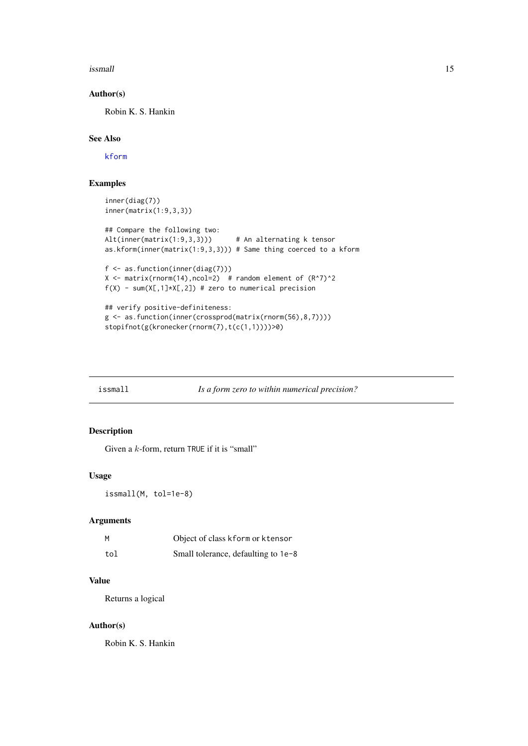<span id="page-14-0"></span>issmall the contract of the contract of the contract of the contract of the contract of the contract of the contract of the contract of the contract of the contract of the contract of the contract of the contract of the co

#### Author(s)

Robin K. S. Hankin

## See Also

[kform](#page-16-1)

## Examples

```
inner(diag(7))
inner(matrix(1:9,3,3))
## Compare the following two:
Alt(inner(matrix(1:9,3,3))) # An alternating k tensor
as.kform(inner(matrix(1:9,3,3))) # Same thing coerced to a kform
f <- as.function(inner(diag(7)))
X \le matrix(rnorm(14), ncol=2) # random element of (R^2)^2f(X) - sum(X[,1]*X[,2]) # zero to numerical precision
## verify positive-definiteness:
g <- as.function(inner(crossprod(matrix(rnorm(56),8,7))))
stopifnot(g(kronecker(rnorm(7),t(c(1,1))))>0)
```
issmall *Is a form zero to within numerical precision?*

## Description

Given a k-form, return TRUE if it is "small"

### Usage

issmall(M, tol=1e-8)

## Arguments

|     | Object of class kform or ktensor    |
|-----|-------------------------------------|
| tol | Small tolerance, defaulting to 1e-8 |

#### Value

Returns a logical

#### Author(s)

Robin K. S. Hankin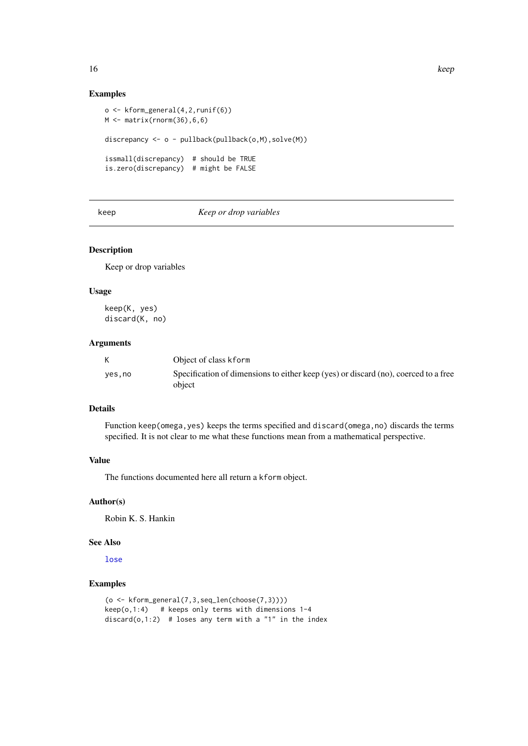## Examples

```
o <- kform_general(4,2,runif(6))
M \leftarrow \text{matrix}(rnorm(36), 6, 6)discrepancy <- o - pullback(pullback(o,M),solve(M))
issmall(discrepancy) # should be TRUE
is.zero(discrepancy) # might be FALSE
```
## keep *Keep or drop variables*

## Description

Keep or drop variables

## Usage

keep(K, yes) discard(K, no)

## Arguments

| K      | Object of class kform                                                                         |
|--------|-----------------------------------------------------------------------------------------------|
| yes,no | Specification of dimensions to either keep (yes) or discard (no), coerced to a free<br>object |

## Details

Function keep(omega,yes) keeps the terms specified and discard(omega,no) discards the terms specified. It is not clear to me what these functions mean from a mathematical perspective.

## Value

The functions documented here all return a kform object.

#### Author(s)

Robin K. S. Hankin

#### See Also

[lose](#page-24-1)

```
(o <- kform_general(7,3,seq_len(choose(7,3))))
keep(0,1:4) # keeps only terms with dimensions 1-4
discard(o,1:2) # loses any term with a "1" in the index
```
<span id="page-15-0"></span>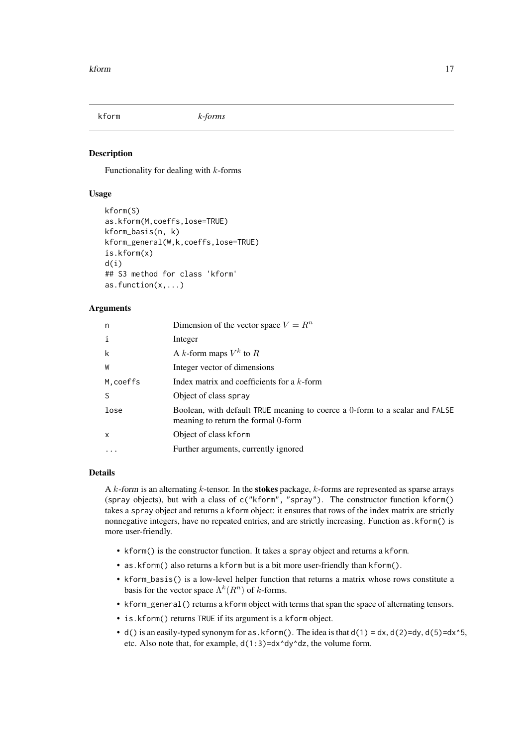<span id="page-16-1"></span><span id="page-16-0"></span>

#### <span id="page-16-2"></span>Description

Functionality for dealing with  $k$ -forms

## Usage

```
kform(S)
as.kform(M,coeffs,lose=TRUE)
kform_basis(n, k)
kform_general(W,k,coeffs,lose=TRUE)
is.kform(x)
d(i)
## S3 method for class 'kform'
as.function(x,...)
```
#### Arguments

| n                         | Dimension of the vector space $V = R^n$                                                                            |
|---------------------------|--------------------------------------------------------------------------------------------------------------------|
| i                         | Integer                                                                                                            |
| k                         | A k-form maps $V^k$ to R                                                                                           |
| W                         | Integer vector of dimensions                                                                                       |
| M, coeffs                 | Index matrix and coefficients for a $k$ -form                                                                      |
| <sub>S</sub>              | Object of class spray                                                                                              |
| lose                      | Boolean, with default TRUE meaning to coerce a 0-form to a scalar and FALSE<br>meaning to return the formal 0-form |
| $\boldsymbol{\mathsf{x}}$ | Object of class kform                                                                                              |
| $\cdot$                   | Further arguments, currently ignored                                                                               |

## Details

A  $k$ -form is an alternating  $k$ -tensor. In the **stokes** package,  $k$ -forms are represented as sparse arrays (spray objects), but with a class of c("kform", "spray"). The constructor function kform() takes a spray object and returns a kform object: it ensures that rows of the index matrix are strictly nonnegative integers, have no repeated entries, and are strictly increasing. Function as.kform() is more user-friendly.

- kform() is the constructor function. It takes a spray object and returns a kform.
- as.kform() also returns a kform but is a bit more user-friendly than kform().
- kform\_basis() is a low-level helper function that returns a matrix whose rows constitute a basis for the vector space  $\Lambda^k(R^n)$  of k-forms.
- kform\_general() returns a kform object with terms that span the space of alternating tensors.
- is.kform() returns TRUE if its argument is a kform object.
- d() is an easily-typed synonym for as. kform(). The idea is that  $d(1) = dx$ ,  $d(2)=dy$ ,  $d(5)=dx^6$ ,  $d(5) = dx^6$ , etc. Also note that, for example, d(1:3)=dx^dy^dz, the volume form.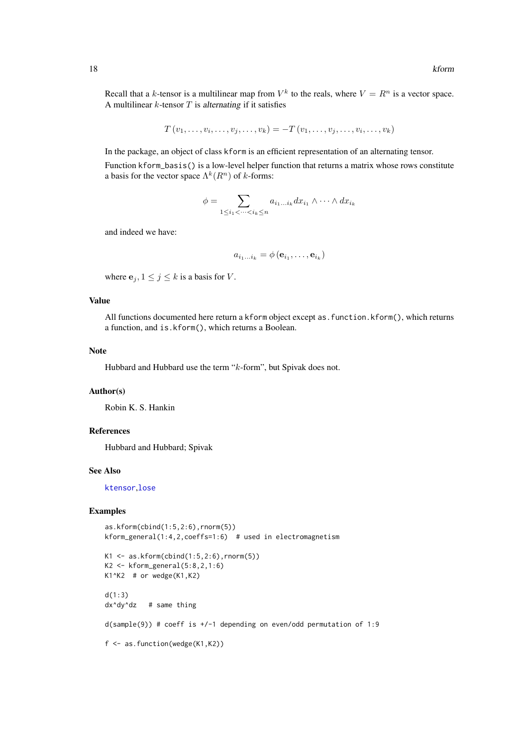<span id="page-17-0"></span>Recall that a k-tensor is a multilinear map from  $V^k$  to the reals, where  $V = R^n$  is a vector space. A multilinear  $k$ -tensor  $T$  is alternating if it satisfies

$$
T(v_1,\ldots,v_i,\ldots,v_j,\ldots,v_k)=-T(v_1,\ldots,v_j,\ldots,v_i,\ldots,v_k)
$$

In the package, an object of class kform is an efficient representation of an alternating tensor.

Function kform\_basis() is a low-level helper function that returns a matrix whose rows constitute a basis for the vector space  $\Lambda^k(R^n)$  of k-forms:

$$
\phi = \sum_{1 \le i_1 < \dots < i_k \le n} a_{i_1 \dots i_k} dx_{i_1} \wedge \dots \wedge dx_{i_k}
$$

and indeed we have:

$$
a_{i_1...i_k} = \phi(\mathbf{e}_{i_1}, \dots, \mathbf{e}_{i_k})
$$

where  $e_j$ ,  $1 \leq j \leq k$  is a basis for V.

#### Value

All functions documented here return a kform object except as.function.kform(), which returns a function, and is.kform(), which returns a Boolean.

#### Note

Hubbard and Hubbard use the term "k-form", but Spivak does not.

#### Author(s)

Robin K. S. Hankin

### References

Hubbard and Hubbard; Spivak

#### See Also

[ktensor](#page-19-1),[lose](#page-24-1)

```
as.kform(cbind(1:5,2:6),rnorm(5))
kform_general(1:4,2,coeffs=1:6) # used in electromagnetism
K1 \leftarrow as.Kform(cbind(1:5,2:6),rnorm(5))K2 <- kform_general(5:8,2,1:6)
K1^k2 # or wedge(K1,K2)
d(1:3)
dx^dy^dz # same thing
d(sample(9)) # coeff is +/-1 depending on even/odd permutation of 1:9
f <- as.function(wedge(K1,K2))
```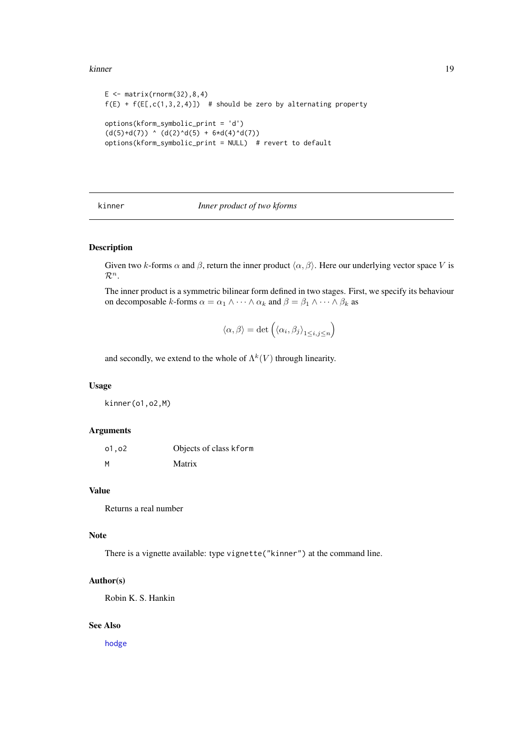#### <span id="page-18-0"></span>kinner til 19

```
E \le - matrix(rnorm(32), 8, 4)
f(E) + f(E[, c(1,3,2,4)]) # should be zero by alternating property
options(kform_symbolic_print = 'd')
(d(5)+d(7)) ^ (d(2)^{d(5)} + 6*d(4)^{d(7)})options(kform_symbolic_print = NULL) # revert to default
```
kinner *Inner product of two kforms*

## Description

Given two k-forms  $\alpha$  and  $\beta$ , return the inner product  $\langle \alpha, \beta \rangle$ . Here our underlying vector space V is  $\mathcal{R}^n$ .

The inner product is a symmetric bilinear form defined in two stages. First, we specify its behaviour on decomposable k-forms  $\alpha = \alpha_1 \wedge \cdots \wedge \alpha_k$  and  $\beta = \beta_1 \wedge \cdots \wedge \beta_k$  as

$$
\langle \alpha, \beta \rangle = \det \left( \langle \alpha_i, \beta_j \rangle_{1 \le i, j \le n} \right)
$$

and secondly, we extend to the whole of  $\Lambda^k(V)$  through linearity.

### Usage

kinner(o1,o2,M)

#### Arguments

| 01,02 | Objects of class kform |
|-------|------------------------|
| M     | Matrix                 |

## Value

Returns a real number

#### Note

There is a vignette available: type vignette("kinner") at the command line.

#### Author(s)

Robin K. S. Hankin

## See Also

[hodge](#page-12-1)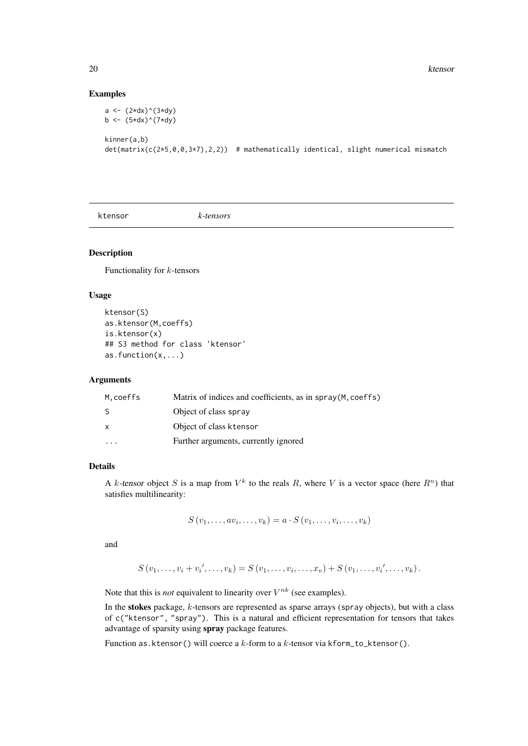#### Examples

```
a \leftarrow (2*dx)^(3*dy)b <- (5*dx)^(7*dy)
kinner(a,b)
det(matrix(c(2*5,0,0,3*7),2,2)) # mathematically identical, slight numerical mismatch
```
<span id="page-19-1"></span>ktensor *k-tensors*

#### Description

Functionality for  $k$ -tensors

## Usage

```
ktensor(S)
as.ktensor(M,coeffs)
is.ktensor(x)
## S3 method for class 'ktensor'
as.function(x,...)
```
#### Arguments

| M.coeffs | Matrix of indices and coefficients, as in spray(M, coeffs) |
|----------|------------------------------------------------------------|
| S        | Object of class spray                                      |
| X        | Object of class ktensor                                    |
|          | Further arguments, currently ignored                       |

## Details

A k-tensor object S is a map from  $V^k$  to the reals R, where V is a vector space (here  $R^n$ ) that satisfies multilinearity:

 $S(v_1, \ldots, av_i, \ldots, v_k) = a \cdot S(v_1, \ldots, v_i, \ldots, v_k)$ 

and

$$
S(v_1, \ldots, v_i + v_i', \ldots, v_k) = S(v_1, \ldots, v_i, \ldots, x_v) + S(v_1, \ldots, v_i', \ldots, v_k).
$$

Note that this is *not* equivalent to linearity over  $V^{nk}$  (see examples).

In the stokes package, k-tensors are represented as sparse arrays (spray objects), but with a class of c("ktensor", "spray"). This is a natural and efficient representation for tensors that takes advantage of sparsity using spray package features.

Function as.ktensor() will coerce a  $k$ -form to a  $k$ -tensor via kform\_to\_ktensor().

<span id="page-19-0"></span>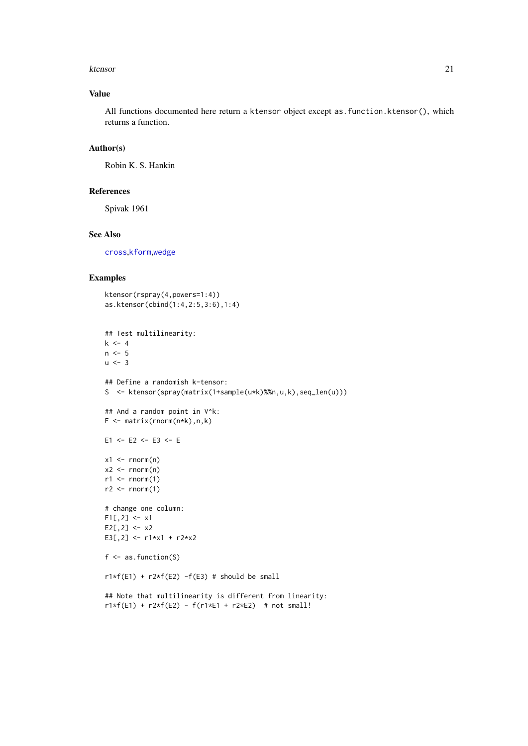#### <span id="page-20-0"></span>ktensor 21

## Value

All functions documented here return a ktensor object except as. function. ktensor(), which returns a function.

## Author(s)

Robin K. S. Hankin

## References

Spivak 1961

### See Also

[cross](#page-9-1),[kform](#page-16-1),[wedge](#page-31-1)

```
ktensor(rspray(4,powers=1:4))
as.ktensor(cbind(1:4,2:5,3:6),1:4)
## Test multilinearity:
k \leq -4n \leq -5u \le -3## Define a randomish k-tensor:
S <- ktensor(spray(matrix(1+sample(u*k)%%n,u,k),seq_len(u)))
## And a random point in V^k:
E <- matrix(rnorm(n*k),n,k)
E1 <- E2 <- E3 <- E
x1 \leftarrow \text{rnorm}(n)x2 \le rnorm(n)
r1 \leftarrow \text{norm}(1)r2 < - rnorm(1)# change one column:
E1[, 2] <- x1
E2[, 2] < -x2E3[,2] <- r1*x1 + r2*x2f \leftarrow as.function(S)r1*f(E1) + r2*f(E2) - f(E3) # should be small## Note that multilinearity is different from linearity:
r1*f(E1) + r2*f(E2) - f(r1*f1 + r2*f2) # not small!
```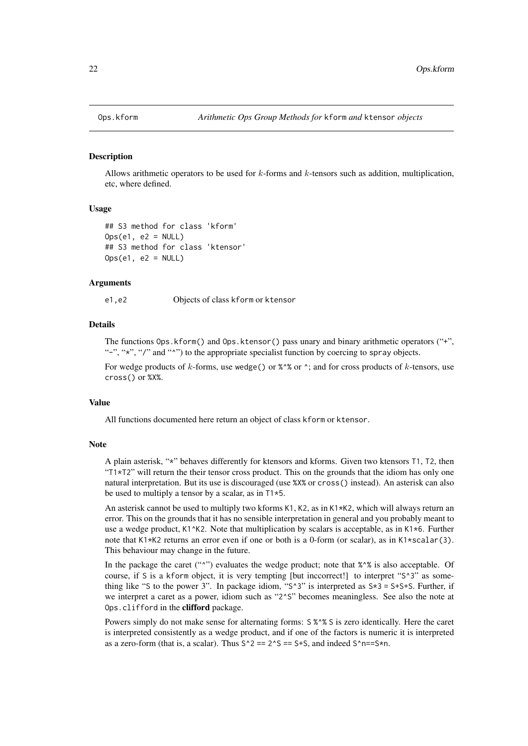<span id="page-21-0"></span>

#### <span id="page-21-1"></span>Description

Allows arithmetic operators to be used for k-forms and k-tensors such as addition, multiplication, etc, where defined.

#### Usage

```
## S3 method for class 'kform'
Ops(e1, e2 = NULL)## S3 method for class 'ktensor'
Obs(e1, e2 = NULL)
```
#### Arguments

e1,e2 Objects of class kform or ktensor

#### Details

The functions Ops.kform() and Ops.ktensor() pass unary and binary arithmetic operators ("+", "-", "\*", "/" and "^") to the appropriate specialist function by coercing to spray objects.

For wedge products of k-forms, use wedge() or  $\frac{8}{3}$  or  $\frac{4}{3}$ ; and for cross products of k-tensors, use cross() or %X%.

#### Value

All functions documented here return an object of class kform or ktensor.

#### Note

A plain asterisk, "\*" behaves differently for ktensors and kforms. Given two ktensors T1, T2, then "T1\*T2" will return the their tensor cross product. This on the grounds that the idiom has only one natural interpretation. But its use is discouraged (use %X% or cross() instead). An asterisk can also be used to multiply a tensor by a scalar, as in T1\*5.

An asterisk cannot be used to multiply two kforms K1, K2, as in K1\*K2, which will always return an error. This on the grounds that it has no sensible interpretation in general and you probably meant to use a wedge product,  $K1^k/2$ . Note that multiplication by scalars is acceptable, as in K1 $*6$ . Further note that K1\*K2 returns an error even if one or both is a 0-form (or scalar), as in K1\*scalar(3). This behaviour may change in the future.

In the package the caret ("") evaluates the wedge product; note that %"\* is also acceptable. Of course, if S is a kform object, it is very tempting [but inccorrect!] to interpret "S^3" as something like "S to the power 3". In package idiom, "S^3" is interpreted as  $S*3 = S+S+S$ . Further, if we interpret a caret as a power, idiom such as "2^S" becomes meaningless. See also the note at Ops.clifford in the clifford package.

Powers simply do not make sense for alternating forms:  $S %^S S$  is zero identically. Here the caret is interpreted consistently as a wedge product, and if one of the factors is numeric it is interpreted as a zero-form (that is, a scalar). Thus  $S^2 = 2^S = 5+S$ , and indeed  $S^2 = S^*$ n.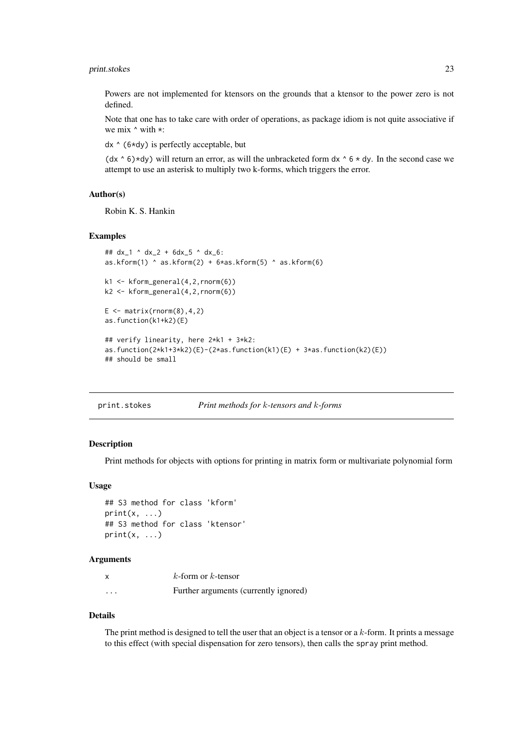#### <span id="page-22-0"></span>print.stokes 23

Powers are not implemented for ktensors on the grounds that a ktensor to the power zero is not defined.

Note that one has to take care with order of operations, as package idiom is not quite associative if we mix  $\land$  with  $\star$ :

dx ^ (6\*dy) is perfectly acceptable, but

 $(dx \wedge 6)$  \*dy) will return an error, as will the unbracketed form dx  $\wedge 6 \times dy$ . In the second case we attempt to use an asterisk to multiply two k-forms, which triggers the error.

#### Author(s)

Robin K. S. Hankin

#### Examples

```
## dx_1 ^ dx_2 + 6dx_5 ^ dx_6:
as.kform(1) \land as.kform(2) + 6*as.kform(5) \land as.kform(6)
k1 \leq kform_general(4,2, rnorm(6))
k2 <- kform_general(4,2,rnorm(6))
E \le - matrix(rnorm(8), 4, 2)
as.function(k1+k2)(E)
## verify linearity, here 2*k1 + 3*k2:
as.function(2*k1+3*k2)(E)-(2*as.function(k1)(E) + 3*as.function(k2)(E))
## should be small
```
<span id="page-22-2"></span>

| Print methods for k-tensors and k-forms |
|-----------------------------------------|
|                                         |

## <span id="page-22-1"></span>Description

Print methods for objects with options for printing in matrix form or multivariate polynomial form

## Usage

```
## S3 method for class 'kform'
print(x, \ldots)## S3 method for class 'ktensor'
print(x, \ldots)
```
#### Arguments

| x        | $k$ -form or $k$ -tensor              |
|----------|---------------------------------------|
| $\cdots$ | Further arguments (currently ignored) |

## Details

The print method is designed to tell the user that an object is a tensor or a k-form. It prints a message to this effect (with special dispensation for zero tensors), then calls the spray print method.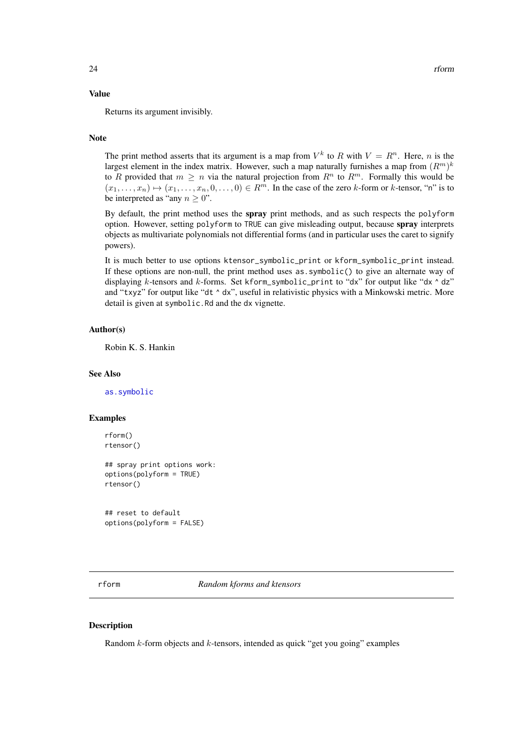#### Value

Returns its argument invisibly.

#### Note

The print method asserts that its argument is a map from  $V^k$  to R with  $V = R^n$ . Here, n is the largest element in the index matrix. However, such a map naturally furnishes a map from  $(R^m)^k$ to R provided that  $m \geq n$  via the natural projection from  $R^n$  to  $R^m$ . Formally this would be  $(x_1, \ldots, x_n) \mapsto (x_1, \ldots, x_n, 0, \ldots, 0) \in R^m$ . In the case of the zero k-form or k-tensor, "n" is to be interpreted as "any  $n \geq 0$ ".

By default, the print method uses the spray print methods, and as such respects the polyform option. However, setting polyform to TRUE can give misleading output, because spray interprets objects as multivariate polynomials not differential forms (and in particular uses the caret to signify powers).

It is much better to use options ktensor\_symbolic\_print or kform\_symbolic\_print instead. If these options are non-null, the print method uses as.symbolic() to give an alternate way of displaying k-tensors and k-forms. Set kform\_symbolic\_print to "dx" for output like "dx  $\land$  dz" and "txyz" for output like "dt  $\land$  dx", useful in relativistic physics with a Minkowski metric. More detail is given at symbolic.Rd and the dx vignette.

#### Author(s)

Robin K. S. Hankin

#### See Also

[as.symbolic](#page-26-1)

#### Examples

```
rform()
rtensor()
## spray print options work:
options(polyform = TRUE)
rtensor()
```
## reset to default options(polyform = FALSE)

rform *Random kforms and ktensors*

## Description

Random  $k$ -form objects and  $k$ -tensors, intended as quick "get you going" examples

<span id="page-23-0"></span>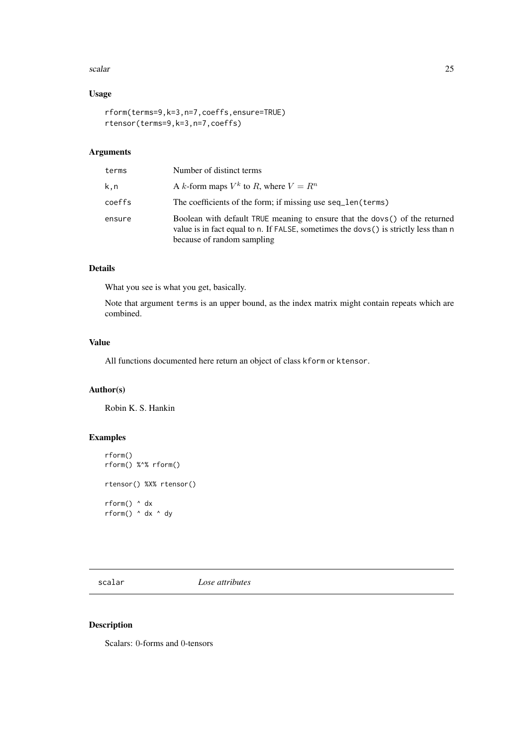#### <span id="page-24-0"></span>scalar 25

## Usage

```
rform(terms=9,k=3,n=7,coeffs,ensure=TRUE)
rtensor(terms=9,k=3,n=7,coeffs)
```
## Arguments

| terms  | Number of distinct terms                                                                                                                                                                         |
|--------|--------------------------------------------------------------------------------------------------------------------------------------------------------------------------------------------------|
| k.n    | A k-form maps $V^k$ to R, where $V = R^n$                                                                                                                                                        |
| coeffs | The coefficients of the form; if missing use seq len(terms)                                                                                                                                      |
| ensure | Boolean with default TRUE meaning to ensure that the dovs() of the returned<br>value is in fact equal to n. If FALSE, sometimes the dovs() is strictly less than n<br>because of random sampling |

## Details

What you see is what you get, basically.

Note that argument terms is an upper bound, as the index matrix might contain repeats which are combined.

## Value

All functions documented here return an object of class kform or ktensor.

#### Author(s)

Robin K. S. Hankin

## Examples

```
rform()
rform() %^% rform()
rtensor() %X% rtensor()
rform() ^ dx
rform() ^ dx ^ dy
```
<span id="page-24-2"></span>scalar *Lose attributes*

## <span id="page-24-1"></span>Description

Scalars: 0-forms and 0-tensors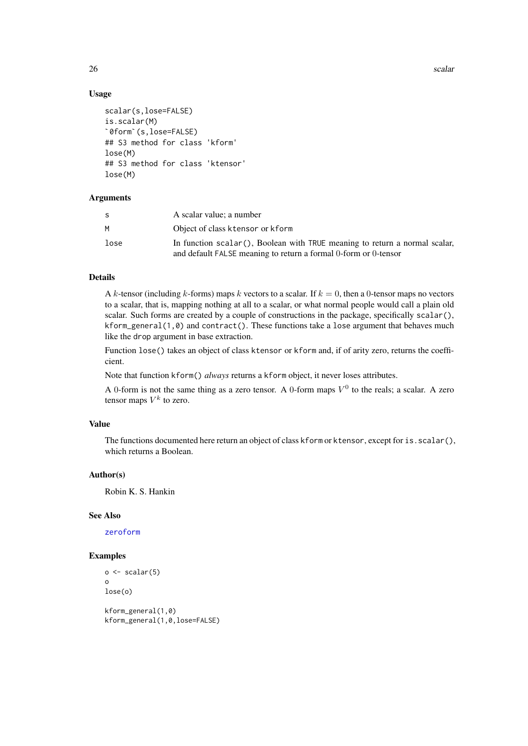26 scalar settlement of the contract of the contract of the settlement of the settlement of the settlement of the settlement of the settlement of the settlement of the settlement of the settlement of the settlement of the

## Usage `

```
scalar(s,lose=FALSE)
is.scalar(M)
 ;<br>calar(s,lose=FALSE)<br>s.scalar(M)<br>0form`(s,lose=FALSE)
## S3 method for class 'kform'
lose(M)
## S3 method for class 'ktensor'
lose(M)
```
## Arguments

| S    | A scalar value; a number                                                                                                                      |  |
|------|-----------------------------------------------------------------------------------------------------------------------------------------------|--|
| м    | Object of class ktensor or kform                                                                                                              |  |
| lose | In function scalar(), Boolean with TRUE meaning to return a normal scalar,<br>and default FALSE meaning to return a formal 0-form or 0-tensor |  |

## Details

A k-tensor (including k-forms) maps k vectors to a scalar. If  $k = 0$ , then a 0-tensor maps no vectors to a scalar, that is, mapping nothing at all to a scalar, or what normal people would call a plain old scalar. Such forms are created by a couple of constructions in the package, specifically scalar(), kform\_general(1,0) and contract(). These functions take a lose argument that behaves much like the drop argument in base extraction.

Function lose() takes an object of class ktensor or kform and, if of arity zero, returns the coefficient.

Note that function kform() *always* returns a kform object, it never loses attributes.

A 0-form is not the same thing as a zero tensor. A 0-form maps  $V^0$  to the reals; a scalar. A zero tensor maps  $V^k$  to zero.

## Value

The functions documented here return an object of class kform or ktensor, except for is.scalar(), which returns a Boolean.

#### Author(s)

Robin K. S. Hankin

#### See Also

[zeroform](#page-33-1)

```
o \leftarrow scalar(5)o
lose(o)
kform_general(1,0)
```

```
kform_general(1,0,lose=FALSE)
```
<span id="page-25-0"></span>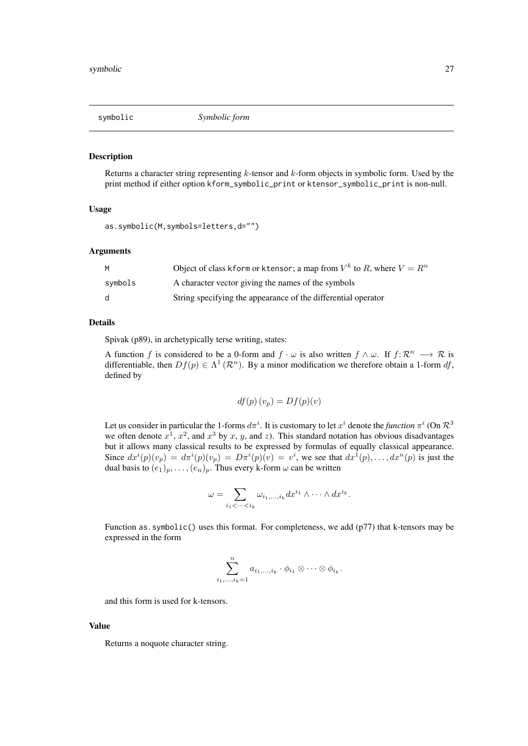<span id="page-26-0"></span>

#### <span id="page-26-1"></span>Description

Returns a character string representing  $k$ -tensor and  $k$ -form objects in symbolic form. Used by the print method if either option kform\_symbolic\_print or ktensor\_symbolic\_print is non-null.

## Usage

```
as.symbolic(M,symbols=letters,d="")
```
#### Arguments

| м       | Object of class kform or ktensor; a map from $V^k$ to R, where $V = R^n$ |
|---------|--------------------------------------------------------------------------|
| symbols | A character vector giving the names of the symbols                       |
| d.      | String specifying the appearance of the differential operator            |

#### Details

Spivak (p89), in archetypically terse writing, states:

A function f is considered to be a 0-form and  $f \cdot \omega$  is also written  $f \wedge \omega$ . If  $f: \mathbb{R}^n \longrightarrow \mathbb{R}$  is differentiable, then  $Df(p) \in \Lambda^1(\mathcal{R}^n)$ . By a minor modification we therefore obtain a 1-form df, defined by

$$
df(p)(v_p) = Df(p)(v)
$$

Let us consider in particular the 1-forms  $d\pi^i$ . It is customary to let  $x^i$  denote the *function*  $\pi^i$  (On  $\mathcal{R}^3$ we often denote  $x^1$ ,  $x^2$ , and  $x^3$  by x, y, and z). This standard notation has obvious disadvantages but it allows many classical results to be expressed by formulas of equally classical appearance. Since  $dx^{i}(p)(v_{p}) = d\pi^{i}(p)(v_{p}) = D\pi^{i}(p)(v) = v^{i}$ , we see that  $dx^{1}(p), \ldots, dx^{n}(p)$  is just the dual basis to  $(e_1)_p, \ldots, (e_n)_p$ . Thus every k-form  $\omega$  can be written

$$
\omega = \sum_{i_1 < \dots < i_k} \omega_{i_1, \dots, i_k} dx^{i_1} \wedge \dots \wedge dx^{i_k}.
$$

Function as. symbolic() uses this format. For completeness, we add (p77) that k-tensors may be expressed in the form

$$
\sum_{i_1,\ldots,i_k=1}^n a_{i_1,\ldots,i_k} \cdot \phi_{i_1} \otimes \cdots \otimes \phi_{i_k}.
$$

and this form is used for k-tensors.

#### Value

Returns a noquote character string.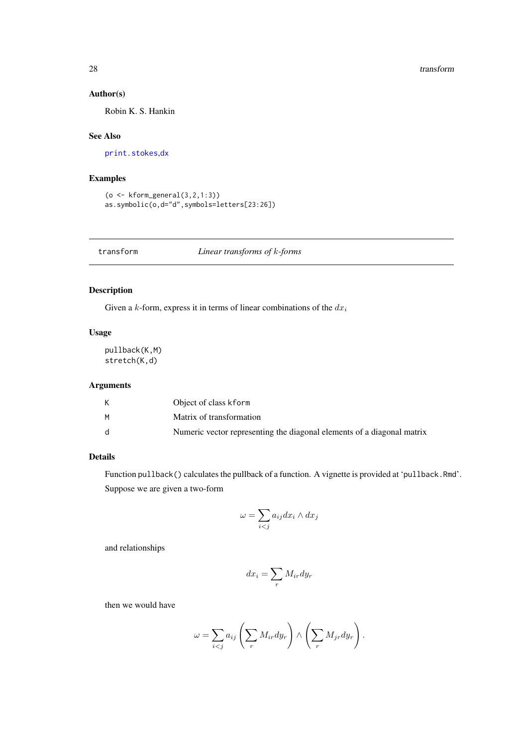## Author(s)

Robin K. S. Hankin

## See Also

[print.stokes](#page-22-2),[dx](#page-11-1)

## Examples

```
(o <- kform_general(3,2,1:3))
as.symbolic(o,d="d",symbols=letters[23:26])
```
## Description

Given a k-form, express it in terms of linear combinations of the  $dx_i$ 

## Usage

pullback(K,M) stretch(K,d)

## Arguments

|    | Object of class kform                                                  |
|----|------------------------------------------------------------------------|
| м  | Matrix of transformation                                               |
| d. | Numeric vector representing the diagonal elements of a diagonal matrix |

## Details

Function pullback() calculates the pullback of a function. A vignette is provided at 'pullback.Rmd'. Suppose we are given a two-form

$$
\omega=\sum_{i
$$

and relationships

$$
dx_i = \sum_r M_{ir} dy_r
$$

then we would have

$$
\omega = \sum_{i < j} a_{ij} \left( \sum_r M_{ir} dy_r \right) \wedge \left( \sum_r M_{jr} dy_r \right).
$$

<span id="page-27-0"></span>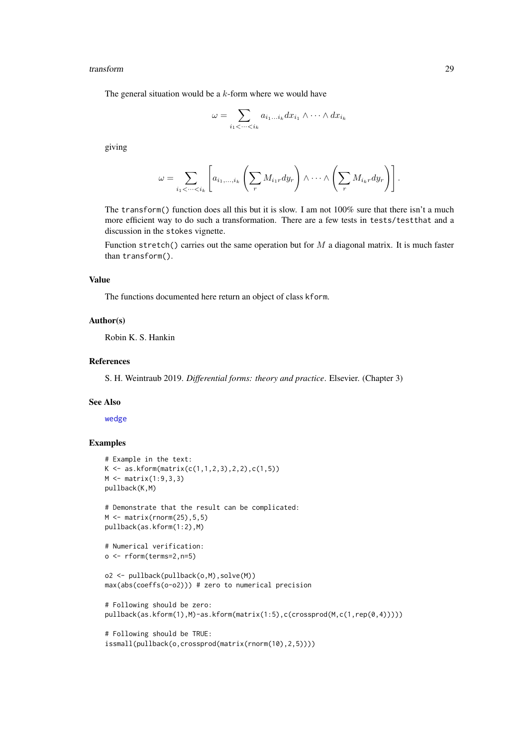<span id="page-28-0"></span>transform 29

The general situation would be a  $k$ -form where we would have

$$
\omega = \sum_{i_1 < \dots < i_k} a_{i_1 \dots i_k} dx_{i_1} \wedge \dots \wedge dx_{i_k}
$$

giving

$$
\omega = \sum_{i_1 < \dots < i_k} \left[ a_{i_1, \dots, i_k} \left( \sum_r M_{i_1r} dy_r \right) \wedge \dots \wedge \left( \sum_r M_{i_rr} dy_r \right) \right].
$$

The transform() function does all this but it is slow. I am not 100% sure that there isn't a much more efficient way to do such a transformation. There are a few tests in tests/testthat and a discussion in the stokes vignette.

Function stretch() carries out the same operation but for  $M$  a diagonal matrix. It is much faster than transform().

#### Value

The functions documented here return an object of class kform.

#### Author(s)

Robin K. S. Hankin

#### References

S. H. Weintraub 2019. *Differential forms: theory and practice*. Elsevier. (Chapter 3)

## See Also

[wedge](#page-31-1)

```
# Example in the text:
K \leftarrow \text{as.kform}(\text{matrix}(c(1,1,2,3),2,2),c(1,5))M <- matrix(1:9,3,3)
pullback(K,M)
# Demonstrate that the result can be complicated:
M \leftarrow matrix(rnorm(25), 5, 5)pullback(as.kform(1:2),M)
# Numerical verification:
o <- rform(terms=2,n=5)
o2 <- pullback(pullback(o,M),solve(M))
max(abs(coeffs(o-o2))) # zero to numerical precision
# Following should be zero:
pullback(as.kform(1), M)-as.kform(matrix(1:5),c(crossprod(M,c(1,rep(0,4)))))
# Following should be TRUE:
issmall(pullback(o,crossprod(matrix(rnorm(10),2,5))))
```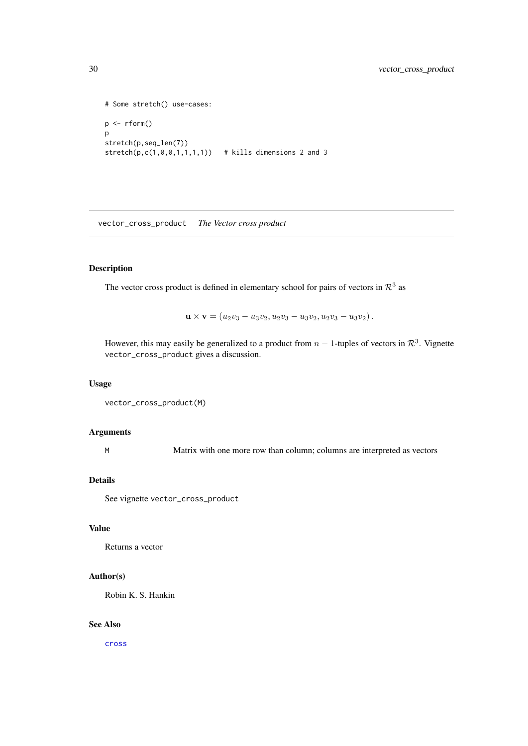```
# Some stretch() use-cases:
p <- rform()
p
stretch(p,seq_len(7))
stretch(p, c(1, 0, 0, 1, 1, 1, 1)) # kills dimensions 2 and 3
```
vector\_cross\_product *The Vector cross product*

## Description

The vector cross product is defined in elementary school for pairs of vectors in  $\mathcal{R}^3$  as

 $\mathbf{u} \times \mathbf{v} = (u_2v_3 - u_3v_2, u_2v_3 - u_3v_2, u_2v_3 - u_3v_2).$ 

However, this may easily be generalized to a product from  $n-1$ -tuples of vectors in  $\mathcal{R}^3$ . Vignette vector\_cross\_product gives a discussion.

## Usage

```
vector_cross_product(M)
```
#### Arguments

M Matrix with one more row than column; columns are interpreted as vectors

## Details

See vignette vector\_cross\_product

## Value

Returns a vector

#### Author(s)

Robin K. S. Hankin

## See Also

[cross](#page-9-1)

<span id="page-29-0"></span>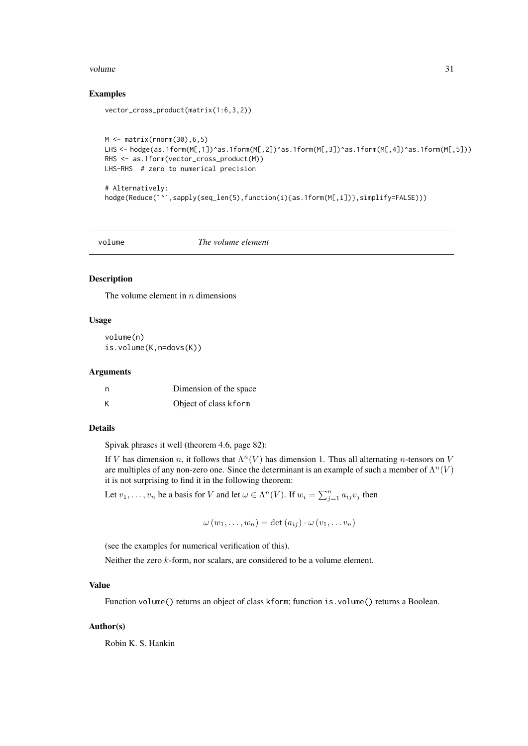#### <span id="page-30-0"></span>volume 31

#### Examples

```
vector_cross_product(matrix(1:6,3,2))
```

```
M \leftarrow matrix(rnorm(30), 6, 5)LHS <- hodge(as.1form(M[,1])^as.1form(M[,2])^as.1form(M[,3])^as.1form(M[,4])^as.1form(M[,5]))
RHS <- as.1form(vector_cross_product(M))
LHS-RHS # zero to numerical precision
```

```
# Alternatively:
hodge(Reduce(`^`,sapply(seq_len(5),function(i){as.1form(M[,i])},simplify=FALSE)))
```
volume *The volume element*

## Description

The volume element in  $n$  dimensions

#### Usage

volume(n) is.volume(K,n=dovs(K))

#### Arguments

| n | Dimension of the space |
|---|------------------------|
| К | Object of class kform  |

#### Details

Spivak phrases it well (theorem 4.6, page 82):

If V has dimension n, it follows that  $\Lambda^n(V)$  has dimension 1. Thus all alternating n-tensors on V are multiples of any non-zero one. Since the determinant is an example of such a member of  $\Lambda^n(V)$ it is not surprising to find it in the following theorem:

Let  $v_1, \ldots, v_n$  be a basis for V and let  $\omega \in \Lambda^n(V)$ . If  $w_i = \sum_{j=1}^n a_{ij}v_j$  then

 $\omega(w_1,\ldots,w_n)=\det(a_{ij})\cdot\omega(v_1,\ldots,v_n)$ 

(see the examples for numerical verification of this).

Neither the zero k-form, nor scalars, are considered to be a volume element.

#### Value

Function volume() returns an object of class kform; function is.volume() returns a Boolean.

## Author(s)

Robin K. S. Hankin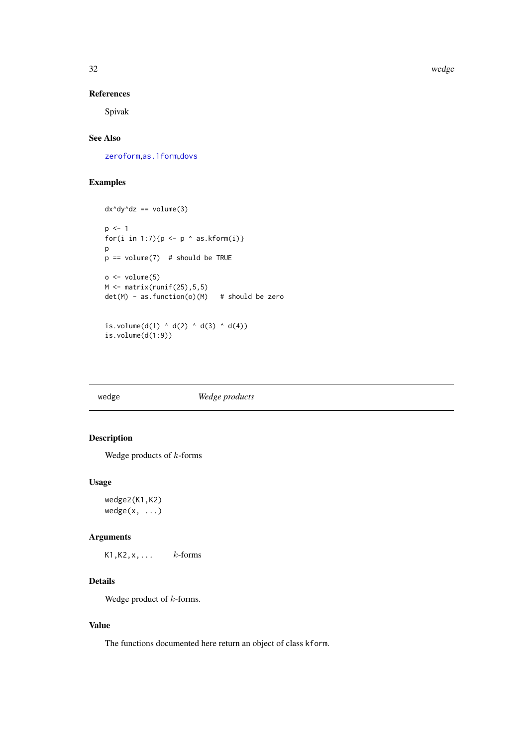32 wedge

#### References

Spivak

## See Also

[zeroform](#page-33-1),[as.1form](#page-5-1),[dovs](#page-10-1)

## Examples

```
dx^dy^dz == volume(3)p \le -1for(i in 1:7){p \leftarrow p ^ as.kform(i)}
p
p == volume(7) # should be TRUE
o \leftarrow volume(5)M \leftarrow matrix(runif(25), 5, 5)det(M) - as. function(o)(M) # should be zero
is.volume(d(1) \land d(2) \land d(3) \land d(4))
```
<span id="page-31-1"></span>

is.volume(d(1:9))

## wedge *Wedge products*

## Description

Wedge products of  $k$ -forms

#### Usage

wedge2(K1,K2) wedge(x, ...)

## Arguments

K1, K2,  $x$ ,  $\ldots$  k-forms

## Details

Wedge product of  $k$ -forms.

## Value

The functions documented here return an object of class kform.

<span id="page-31-0"></span>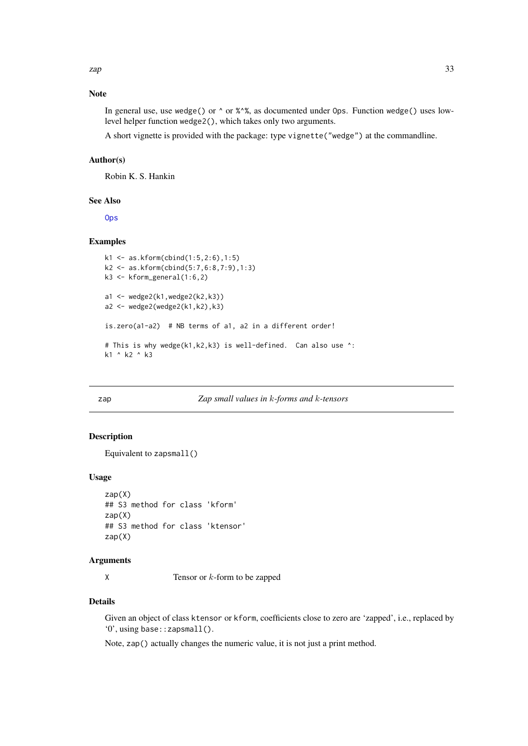## <span id="page-32-0"></span>Note

In general use, use wedge() or  $\wedge$  or % $\wedge$ %, as documented under Ops. Function wedge() uses lowlevel helper function wedge2(), which takes only two arguments.

A short vignette is provided with the package: type vignette("wedge") at the commandline.

## Author(s)

Robin K. S. Hankin

## See Also

**[Ops](#page-21-1)** 

## Examples

```
k1 <- as.kform(cbind(1:5,2:6),1:5)
k2 <- as.kform(cbind(5:7,6:8,7:9),1:3)
k3 \leq kform_general(1:6,2)
a1 <- wedge2(k1, wedge2(k2, k3))
a2 \leq - wedge2(wedge2(k1,k2),k3)
is.zero(a1-a2) # NB terms of a1, a2 in a different order!
# This is why wedge(k1,k2,k3) is well-defined. Can also use ^:
k1 ^ k2 ^ k3
```
## zap *Zap small values in* k*-forms and* k*-tensors*

#### Description

Equivalent to zapsmall()

#### Usage

```
zap(X)
## S3 method for class 'kform'
zap(X)
## S3 method for class 'ktensor'
zap(X)
```
#### Arguments

 $X$  Tensor or  $k$ -form to be zapped

#### Details

Given an object of class ktensor or kform, coefficients close to zero are 'zapped', i.e., replaced by '0', using base::zapsmall().

Note, zap() actually changes the numeric value, it is not just a print method.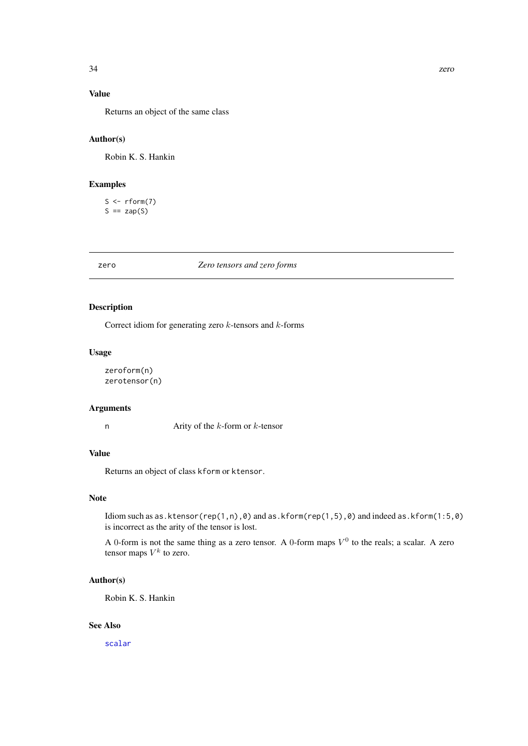## <span id="page-33-0"></span>Value

Returns an object of the same class

## Author(s)

Robin K. S. Hankin

## Examples

 $S \leftarrow rform(7)$  $S == \mathsf{zap}(S)$ 

zero *Zero tensors and zero forms*

## <span id="page-33-1"></span>Description

Correct idiom for generating zero  $k$ -tensors and  $k$ -forms

#### Usage

```
zeroform(n)
zerotensor(n)
```
#### Arguments

n  $Arity$  of the  $k$ -form or  $k$ -tensor

## Value

Returns an object of class kform or ktensor.

## Note

Idiom such as as.ktensor(rep(1,n),0) and as.kform(rep(1,5),0) and indeed as.kform(1:5,0) is incorrect as the arity of the tensor is lost.

A 0-form is not the same thing as a zero tensor. A 0-form maps  $V^0$  to the reals; a scalar. A zero tensor maps  $V^k$  to zero.

## Author(s)

Robin K. S. Hankin

## See Also

[scalar](#page-24-2)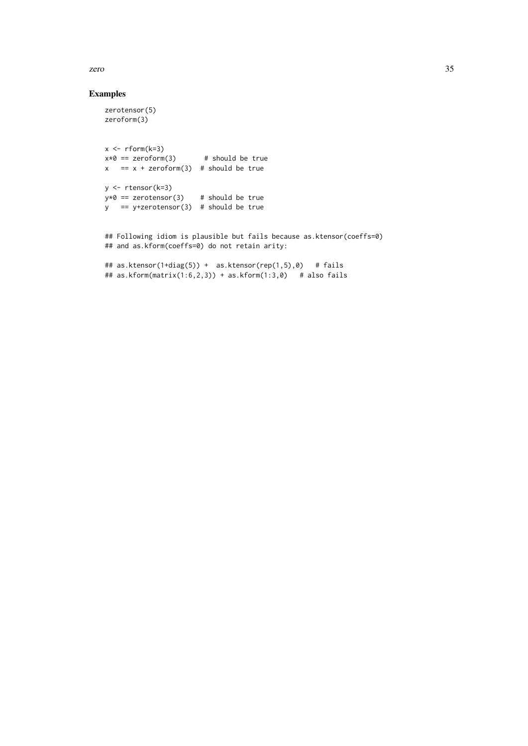#### zero 35

## Examples

```
zerotensor(5)
zeroform(3)
x \leftarrow rform(k=3)x*0 == zeroform(3) # should be true
x = x + zeroform(3) # should be true
y <- rtensor(k=3)
y*0 == zerotensor(3) # should be true
y == y+zerotensor(3) # should be true
## Following idiom is plausible but fails because as.ktensor(coeffs=0)
## and as.kform(coeffs=0) do not retain arity:
## as.ktensor(1+diag(5)) + as.ktensor(rep(1,5),0) # fails
```
## as.kform(matrix(1:6,2,3)) + as.kform(1:3,0) # also fails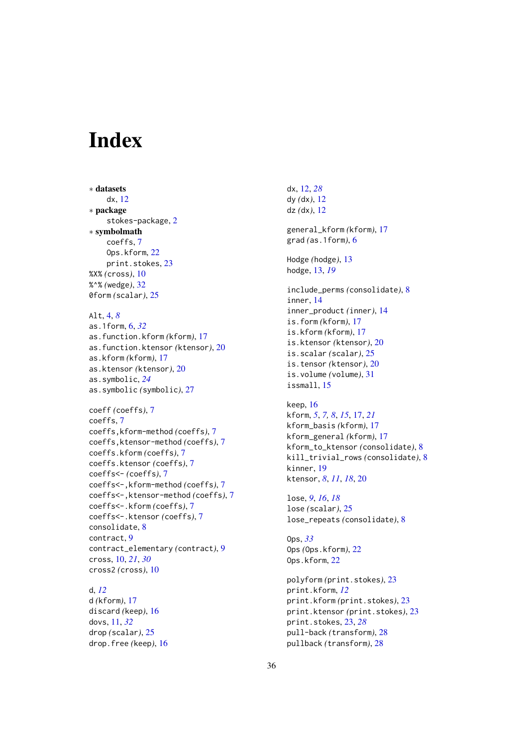# <span id="page-35-0"></span>**Index**

∗ datasets dx, [12](#page-11-0) ∗ package stokes-package, [2](#page-1-0) ∗ symbolmath coeffs, [7](#page-6-0) Ops.kform, [22](#page-21-0) print.stokes, [23](#page-22-0) %X% *(*cross*)*, [10](#page-9-0) %^% *(*wedge*)*, [32](#page-31-0) 0form *(*scalar*)*, [25](#page-24-0) Alt, [4,](#page-3-0) *[8](#page-7-0)* as.1form, [6,](#page-5-0) *[32](#page-31-0)* as.function.kform *(*kform*)*, [17](#page-16-0) as.function.ktensor *(*ktensor*)*, [20](#page-19-0) as.kform *(*kform*)*, [17](#page-16-0) as.ktensor *(*ktensor*)*, [20](#page-19-0) as.symbolic, *[24](#page-23-0)* as.symbolic *(*symbolic*)*, [27](#page-26-0) coeff *(*coeffs*)*, [7](#page-6-0) coeffs, [7](#page-6-0) coeffs,kform-method *(*coeffs*)*, [7](#page-6-0) coeffs,ktensor-method *(*coeffs*)*, [7](#page-6-0) coeffs.kform *(*coeffs*)*, [7](#page-6-0) coeffs.ktensor *(*coeffs*)*, [7](#page-6-0) coeffs<- *(*coeffs*)*, [7](#page-6-0) coeffs<-,kform-method *(*coeffs*)*, [7](#page-6-0) coeffs<-,ktensor-method *(*coeffs*)*, [7](#page-6-0) coeffs<-.kform *(*coeffs*)*, [7](#page-6-0) coeffs<-.ktensor *(*coeffs*)*, [7](#page-6-0) consolidate, [8](#page-7-0) contract, [9](#page-8-0) contract\_elementary *(*contract*)*, [9](#page-8-0) cross, [10,](#page-9-0) *[21](#page-20-0)*, *[30](#page-29-0)* cross2 *(*cross*)*, [10](#page-9-0)

## d, *[12](#page-11-0)* d *(*kform*)*, [17](#page-16-0)

discard *(*keep*)*, [16](#page-15-0) dovs, [11,](#page-10-0) *[32](#page-31-0)* drop *(*scalar*)*, [25](#page-24-0) drop.free *(*keep*)*, [16](#page-15-0) dx, [12,](#page-11-0) *[28](#page-27-0)* dy *(*dx*)*, [12](#page-11-0) dz *(*dx*)*, [12](#page-11-0)

general\_kform *(*kform*)*, [17](#page-16-0) grad *(*as.1form*)*, [6](#page-5-0)

Hodge *(*hodge*)*, [13](#page-12-0) hodge, [13,](#page-12-0) *[19](#page-18-0)*

include\_perms *(*consolidate*)*, [8](#page-7-0) inner, [14](#page-13-0) inner\_product *(*inner*)*, [14](#page-13-0) is.form *(*kform*)*, [17](#page-16-0) is.kform *(*kform*)*, [17](#page-16-0) is.ktensor *(*ktensor*)*, [20](#page-19-0) is.scalar *(*scalar*)*, [25](#page-24-0) is.tensor *(*ktensor*)*, [20](#page-19-0) is.volume *(*volume*)*, [31](#page-30-0) issmall, [15](#page-14-0)

keep, [16](#page-15-0) kform, *[5](#page-4-0)*, *[7,](#page-6-0) [8](#page-7-0)*, *[15](#page-14-0)*, [17,](#page-16-0) *[21](#page-20-0)* kform\_basis *(*kform*)*, [17](#page-16-0) kform\_general *(*kform*)*, [17](#page-16-0) kform\_to\_ktensor *(*consolidate*)*, [8](#page-7-0) kill\_trivial\_rows *(*consolidate*)*, [8](#page-7-0) kinner, [19](#page-18-0) ktensor, *[8](#page-7-0)*, *[11](#page-10-0)*, *[18](#page-17-0)*, [20](#page-19-0)

lose, *[9](#page-8-0)*, *[16](#page-15-0)*, *[18](#page-17-0)* lose *(*scalar*)*, [25](#page-24-0) lose\_repeats *(*consolidate*)*, [8](#page-7-0)

Ops, *[33](#page-32-0)* Ops *(*Ops.kform*)*, [22](#page-21-0) Ops.kform, [22](#page-21-0)

```
polyform (print.stokes), 23
print.kform, 12
print.kform (print.stokes), 23
print.ktensor (print.stokes), 23
print.stokes, 23, 28
pull-back (transform), 28
pullback (transform), 28
```